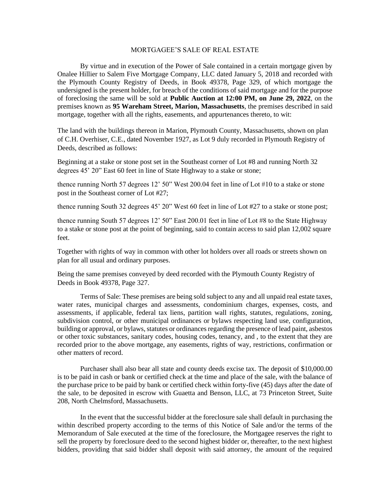## MORTGAGEE'S SALE OF REAL ESTATE

By virtue and in execution of the Power of Sale contained in a certain mortgage given by Onalee Hillier to Salem Five Mortgage Company, LLC dated January 5, 2018 and recorded with the Plymouth County Registry of Deeds, in Book 49378, Page 329, of which mortgage the undersigned is the present holder, for breach of the conditions of said mortgage and for the purpose of foreclosing the same will be sold at **Public Auction at 12:00 PM, on June 29, 2022**, on the premises known as **95 Wareham Street, Marion, Massachusetts**, the premises described in said mortgage, together with all the rights, easements, and appurtenances thereto, to wit:

The land with the buildings thereon in Marion, Plymouth County, Massachusetts, shown on plan of C.H. Overhiser, C.E., dated November 1927, as Lot 9 duly recorded in Plymouth Registry of Deeds, described as follows:

Beginning at a stake or stone post set in the Southeast corner of Lot #8 and running North 32 degrees 45' 20" East 60 feet in line of State Highway to a stake or stone;

thence running North 57 degrees 12' 50" West 200.04 feet in line of Lot #10 to a stake or stone post in the Southeast corner of Lot #27;

thence running South 32 degrees 45' 20" West 60 feet in line of Lot #27 to a stake or stone post;

thence running South 57 degrees 12' 50" East 200.01 feet in line of Lot #8 to the State Highway to a stake or stone post at the point of beginning, said to contain access to said plan 12,002 square feet.

Together with rights of way in common with other lot holders over all roads or streets shown on plan for all usual and ordinary purposes.

Being the same premises conveyed by deed recorded with the Plymouth County Registry of Deeds in Book 49378, Page 327.

Terms of Sale: These premises are being sold subject to any and all unpaid real estate taxes, water rates, municipal charges and assessments, condominium charges, expenses, costs, and assessments, if applicable, federal tax liens, partition wall rights, statutes, regulations, zoning, subdivision control, or other municipal ordinances or bylaws respecting land use, configuration, building or approval, or bylaws, statutes or ordinances regarding the presence of lead paint, asbestos or other toxic substances, sanitary codes, housing codes, tenancy, and , to the extent that they are recorded prior to the above mortgage, any easements, rights of way, restrictions, confirmation or other matters of record.

Purchaser shall also bear all state and county deeds excise tax. The deposit of \$10,000.00 is to be paid in cash or bank or certified check at the time and place of the sale, with the balance of the purchase price to be paid by bank or certified check within forty-five (45) days after the date of the sale, to be deposited in escrow with Guaetta and Benson, LLC, at 73 Princeton Street, Suite 208, North Chelmsford, Massachusetts.

In the event that the successful bidder at the foreclosure sale shall default in purchasing the within described property according to the terms of this Notice of Sale and/or the terms of the Memorandum of Sale executed at the time of the foreclosure, the Mortgagee reserves the right to sell the property by foreclosure deed to the second highest bidder or, thereafter, to the next highest bidders, providing that said bidder shall deposit with said attorney, the amount of the required